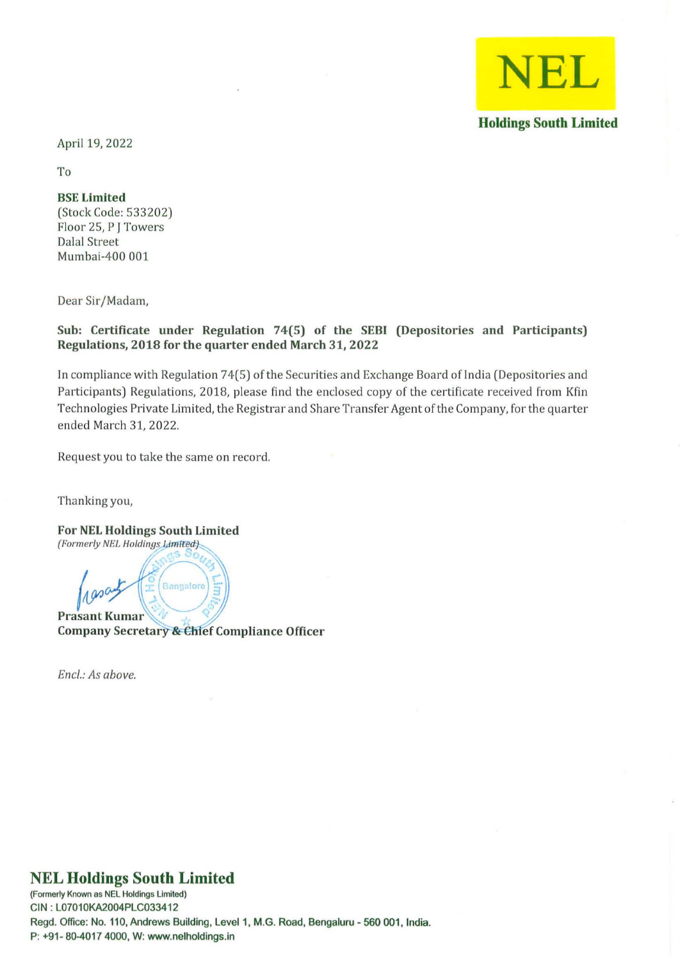

April 19, 2022

To

## BSE Limited

(Stock Code: 533202) Floor 25, PJ Towers Dalal Street Mumbai-400 001

Dear Sir/Madam,

## Sub: Certificate under Regulation 74(5) of the SEBI (Depositories and Participants) Regulations, 2018 for the quarter ended March 31, 2022

In compliance with Regulation 74(5) of the Securities and Exchange Board of India (Depositories and Participants) Regulations, 2018, please find the enclosed copy of the certificate received from Kfin Technologies Private Limited, the Registrar and Share Transfer Agent of the Company, for the quarter ended March 31, 2022.

Request you to take the same on record.

Thanking you,

For NEL Holdings South Limited (Formerly NEL Holdings Limited).

Maxambury E Bangalo Company Secretary & Chief Compliance Officer

*Encl.: As above,* 

## **NEL Holdings South Limited**

**(Formerly Known as NEL Holdings Limited)**  CIN: L07010KA2004PLC033412 Regd. Office: No. 110, Andrews Building, Level 1, M.G. Road, Bengaluru - 560 001, India. P: +91- 80-4017 4000, W: www.nelholdings.in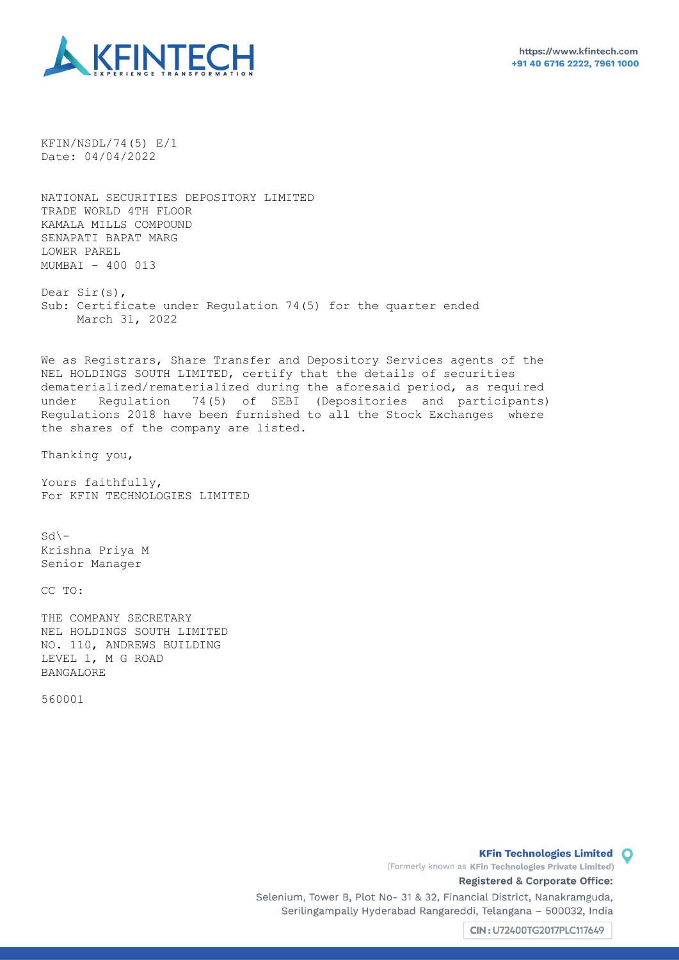

KFIN/NSDL/74(5) E/1 Date: 04/04/2022

NATIONAL SECURITIES DEPOSITORY LIMITED TRADE WORLD 4TH FLOOR KAMALA MILLS COMPOUND SENAPATI BAPAT MARG LOWER PAREL MUMBAI - 400 013

Dear Sir(s), Sub: Certificate under Regulation 74(5) for the quarter ended March 31, 2022

We as Registrars, Share Transfer and Depository Services agents of the NEL HOLDINGS SOUTH LIMITED, certify that the details of securities dematerialized/rematerialized during the aforesaid period, as required under Regulation 74(5) of SEBI (Depositories and participants) Regulations 2018 have been furnished to all the Stock Exchanges where the shares of the company are listed.

Thanking you,

Yours faithfully, For KFIN TECHNOLOGIES LIMITED

 $Sd$  – Krishna Priya M Senior Manager

CC TO:

THE COMPANY SECRETARY NEL HOLDINGS SOUTH LIMITED NO. 110, ANDREWS BUILDING LEVEL 1, M G ROAD BANGALORE

560001

**KFin Technologies Limited O** 

(Formerly known as KFin Technologies Private Limited) Registered & Corporate Office:

Selenium, Tower B, Plot No- 31 & 32, Financial District, Nanakramguda, Serilingampally Hyderabad Rangareddi, Telangana - 500032, India

CIN: U72400TG2017PLC117649